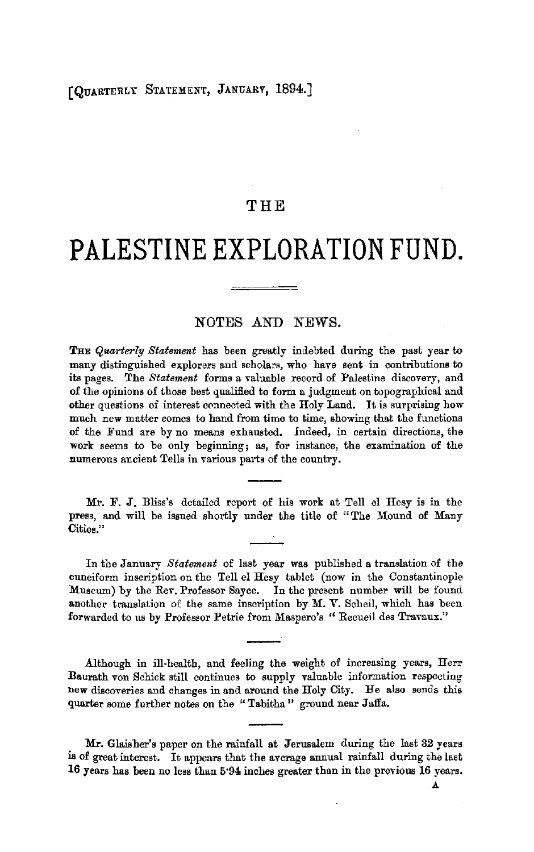# (QUARTERLY STATEMENT, JANUARY, 1894.]

## THE

# **PALESTINE EXPLORATION FUND.**

### NOTES AND NEWS.

THE *Quarterly Statement* has been greatly indebted during the past year to many distinguished explorers and scholars, who have sent in contributions to its pages. The *Statement* forms a valuable record of Palestine discovery, and of the opinions of those best qualified to form a judgment on topographical and other questions of interest connected with the Holy Land. It is surprising how much new matter comes to hand from time to time, showing that the functions of the Fund are by no means exhausted. Indeed, in certain directions, the work seems to be only beginning; as, for instance, the examination of the numerous ancient Tells in various parts of the country.

Mr. F. J. Bliss's detailed report of his work at Tell el Hesy is in the press, and will be issued shortly under the title of "The Mound of Many Cities."

In the January *Statement* of last year **was** published a translation of the cuneiform inscription on the Tell el Hesy tablet (now in the Constantinople Museum) by the Rev. Professor Sayce. In the present number **will** be found another translation of the same inscription by M. V. Scheil, which has been forwarded to us by Professor Petrie from Maspero's " Recueil des Travaux."

.Although in ill-health, and feeling the weight of increasing years, Herr :Baurath von Schick still continues to supply valuable information respecting new discoveries and changes in and around the Holy City. He also sends this quarter some further notes on the "Tabitha" ground near Jaffa.

**Mr.** Glaisher's paper on the rainfall at Jerusalem during the last 32 years is of great interest. It appears that the average annual rainfall during the last **16** years has been no less than 5·94 inches greater than in the previous 16 years.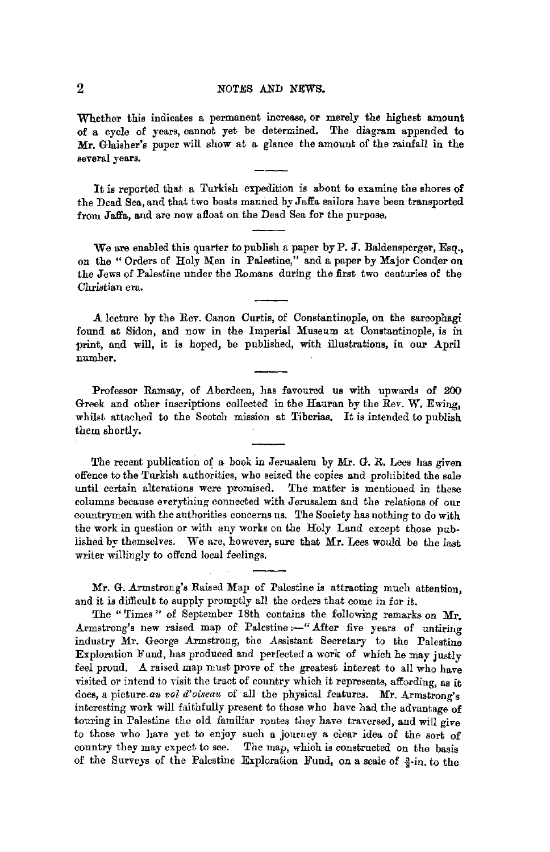#### 2 *NOTES* AND NEWS.

Whether this indicates a permanent increase, or merely the highest amount **of a** cycle of years, cannot yet be determined. The diagram appended to **Mr.** Glaisher's paper will show at a glance the amount of the rainfall in the several years.

It is reported that a Turkish expedition is about to examine the shores **of**  the Dead Sea, and that two boats manned by Jaffa sailors have been transported from Jaffa, and are now afloat on the Dead Sea for the purpose.

We are enabled this quarter to publish a paper by P. J. Baldensperger, Esq., on the "Orders of Holy Men in Palestine," and a paper by Major Conder on the Jews of Palestine under the Romans during the first two centuries of the Christian era.

.A. lecture by the Rev. Canon Curtis, of Constantinople, on the sarcophagi found at Bidon, and now in the Imperial Museum at Constantinople, is in ·print, and will, it is hoped, be published, with illustrations, in our April number.

Professor Ramsay, of Aberdeen, has favoured us with upwards of 200 Greek and other inscriptions collected in the Hauran by the Rev. **W.** Ewing, whilst attached to the Scotch mission at Tiberias. It is intended to publish them shortly.

The recent publication of a book in Jerusalem by Mr. G. R. Lees has given offence to the Turkish authorities, who seized the copies and prohibited the sale until certain alterations were promised. The matter is mentioned in these columns because everything connected with Jerusalem and the relations of our countrymen with the authorities concerns us. The Society has nothing to do with the work in question or with any works on the Holy Land except those published by themselves. We are, however, sure that **Mr.** Lees would be the last writer willingly to offend local feelings.

Mr. G. Armstrong's Raised Map of Palestine is attracting much attention, and it is difficult to supply promptly all the orders that come in for it.

The "Times" of September 18th contains the following remarks on Mr. Armstrong's new raised map of Palestine:-" After five years of untiring industry Mr. George Armstrong, the Assistant Secretary to the Palestine Exploration Fund, has produced and perfected a work of which he may justly feel proud. A raised map must prove of the greatest interest to all who have visited or intend to visit the tract of country which it represents, affording, as it does, a picture.au *vol d'oiseau* of all the physical features. Mr. Armstrong's interesting work will faithfully present to those who have had the advantage of touring in Palestine the old familiar routes they have traversed, and will give to those who have yet to enjoy such a journey a clear idea of the sort of country they may expect to see. The map, which is constructed on the basis of the Surveys of the Palestine Exploration Fund, on a scale of  $\frac{3}{8}$ -in. to the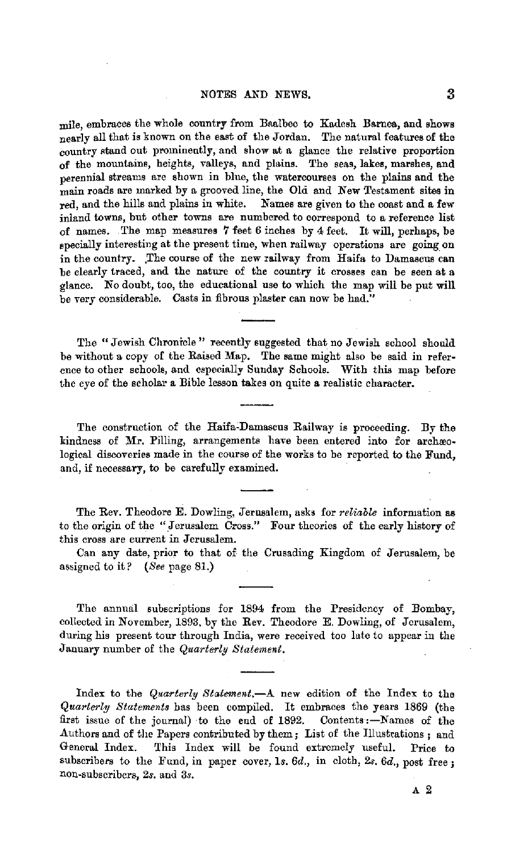mile, embraces the whole country from Boalbec to Kadesh Bamea, and shows nearly all that is known on the east of the Jordan. The natural features of the country stand out prominently, and show at a glance the relative proportion of the mountains, heights, valleys, and plains. The seas, lakes, marshes, and perennial streams are shown in blue, the watercourses on the plains and the main roads are marked by a grooved line, the Ola and New Testament sites in red, and the hills and plains in white. Names are given to the coast and a few inland towns, but other towns are numbered to correspond to a reference list of names. . The map measures 7 feet 6 inches by 4 feet. It will, perhaps, be specially interesting at the present time, when railway operations are going on in the country. The course of the new railway from Haifa to Damascus can be clearly traced, and the nature of the country it crosses can be seen at a glance. No doubt, too, the educational use to which the map will be put will be very considerable. Casts in fibrous plaster can now be had."

The "Jewish Chronicle" recently suggested that no Jewish school should be without a copy of the Raised Map. The same might also be said in reference to other schools, and especially Sunday Schools. With this map before the eye of the scholar a Bible lesson takes on quite **a** realistic character.

The construction of the Haifa-Damascus Railway is proceeding. By the kindness of Mr. Pilling, arrangements have been entered into for archæological discoveries made in the course of the works to be reported to the Fund, and, if necessary, to be carefully examined.

The Rev. Theodore E. Dowling, Jerusalem, asks for *reliable* information **as**  to the origin of the "Jerusalem Cross." Four theories of the early history of this cross are current in Jerusalem.

Can any date, prior to that of the Crusading Kingdom of Jerusalem, be assigned to it? *(See* page 81.)

The annual subscriptions for 1894 from the Presidency of Bombay, collected in November, 1893, by the Rev. Theodore E. Dowling, of Jerusalem, during his present tour through India, were received too late to appear in the January number of the *Quarterly Statement.* 

Index to the *Quarterly Statement.-A* new edition of the Index *to* the *Quarterly Statements* has been compiled. It embraces the years 1869 (the first issue of the journal) to the end of 1892. Contents:-Names of the Authors and of the Papers contributed by them; List of the Illustrations; and General Index. This Index will he found extremely useful. Price to subscribers to the Fund, in paper cover, 1s.  $6d$ ., in cloth,  $2s$ ,  $6d$ ., post free; non-subscribers, *2s.* and 3s.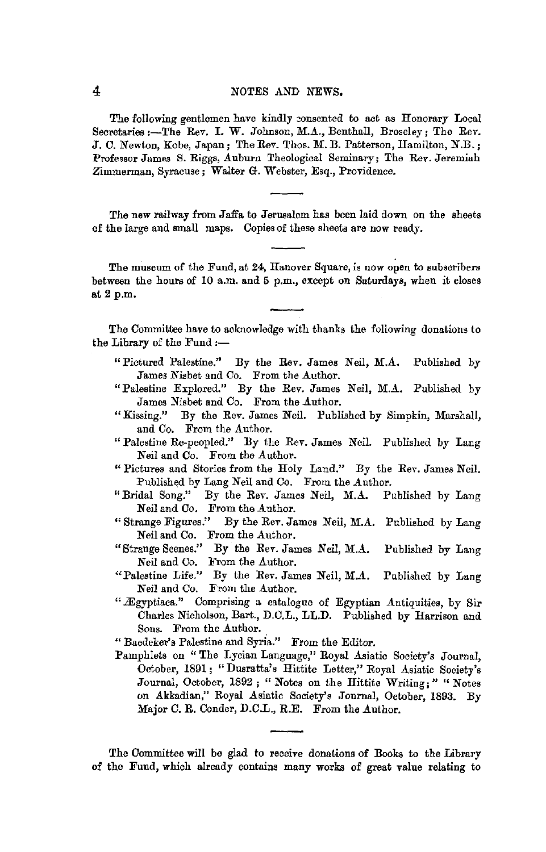#### 4 NOTES AND NEWS,

The following gentlemen have kindly consented to act as Honorary Local Secretaries :- The Rev. I. W. Johnson, M.A., Benthall, Broseley; The Rev. J.C. Newton, Kobe, Japan; The Rev. Thos. M. B. Patterson, Hamilton, N.B.; Professor James S. Riggs, Auburn Theological Seminary; The Rev. Jeremiah Zimmerman, Syracuse; Walter G. Webster, Esq., Providence.

The new railway from Jaffa to Jerusalem has been laid down on the sheets of the large and small maps. Copies of these sheets are now ready.

The museum of the Fund, at 24, Hanover Square, is now open to subscribers between the hours of 10 a.m. and 5 p.m., except on Saturdays, when it closes at 2 p.m.

The Committee have to acknowledge with thanks the following donations to the Library of the Fund :-

- " Pictured Palestine." By the Rev. James Neil, M.A. Published by James Nisbet and Co. From the Author.
- "Palestine Explored." By the Rev. James Neil, M.A. Published by James Nisbet and Co. From the Author.
- "Kissing." By the Rev. James Neil. Published by Simpkin, Marshall, and Co. From the Author.
- "Palestine Re-peopled." By the Rev. James Neil. Published by Lang Neil and Co. From the Author.
- "Pictures and Stories from the Holy Land." By the Rev. James Neil. Published by Lang Neil and Co. From the Author.
- "Bridal Song." By the Rev. James Neil, M.A. Published by Lang Neil and Co. From the Author.<br>"Strange Figures." By the Rev. Ja
- By the Rev. James Neil, M.A. Published by Lang Neil and Co. From the Author.
- "Strange Scenes." By the Rev. James Neil, M.A. Published by Lang Neil and Co. From the Author.
- "Palestine Life." By the Rev. James Neil, M.A. Published by Lang Neil and Co. From the Author.
- " Ægyptiaca." Comprising a catalogue of Egyptian Antiquities, by Sir Charles Nicholson, Bart., D.C.L., LL.D. Published by Harrison and Sons. From the Author.

" Baedeker's Palestine and Syria." From the Editor.

Pamphlets on "The Lycian Langnage," Royal Asiatic Society's Journal, October, 1891; "Dusratta's Hittite Letter," Royal Asiatic Society's Journal, October, 1892; "Notes on the Hittite Writing;" "Notes on Akkadian," Royal Asiatic Society's Journal, October, 1893. By Major C. R. Conder, D.C.L., R.E. From the Author.

The Committee will be glad to receive donations of Books to the Library of the Fund, which already contains many works of great value relating to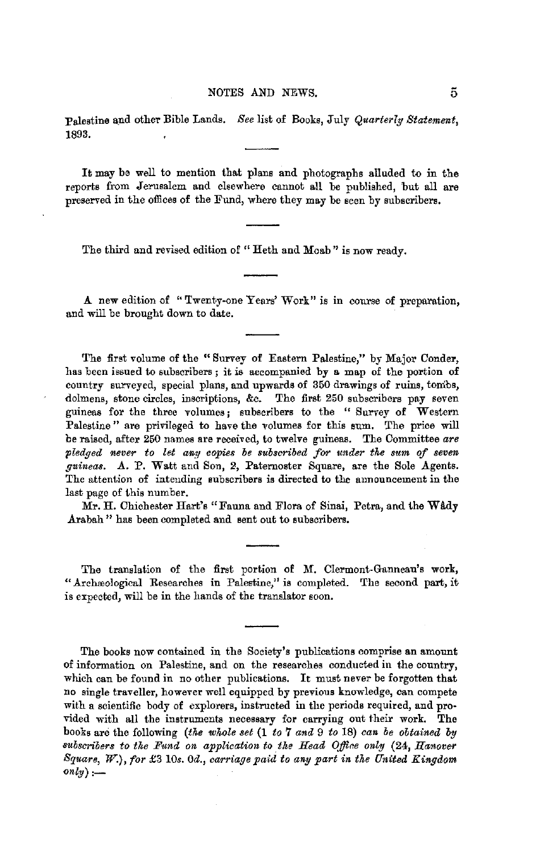:Palestine a\_nd other Bible Lands. *See* list of Books, July *Quarterly Statement,*  1893.

It may be well to mention that plans and photographs alluded to in the reports from Jerusalem and elsewhere cannot all be published, but all are preserved in the offices of the Fund, where they may be seen by subscribers.

The third and revised edition of "Heth and Moab" is now ready.

**A** new edition of "Twenty-one Years' Work" is in course of preparation, and will be brought down to date.

The first volume of the " Survey of Eastern Palestine," by Major Conder, has been issued to subscribers ; it is accompanied by a map of the portion of country surveyed, special plans, and upwards of 350 drawings of ruins, tombs, dolmens, stone circles, inscriptions, &c. The first 250 subscribers pay seven guineas for the three volumes; subscribers to the " Survey of Western Palestine " are privileged to have the volumes for this sum. The price will be raised, after 250 names are received, to twelve guineas. The Committee *are*  pledged never to let any copies be subscribed for under the sum of seven *guineas. A.* P. Watt and Son, 2, Paternoster Square, are the Sole Agents. The attention of intending subscribers is directed to the announcement in the last page of this number.

Mr. H. Chichester Hart's "Fauna and Flora of Sinai, Petra, and the **Wil.dy**  Arabah" has been completed and sent out to subscribers.

The translation of the first portion of M. Clermont-Ganneau's work, "Archreological Researches in Palestine," is completed. The second part, it is expected, will be in the hands of the translator soon.

The books now contained in the Society's publications comprise **an** amount of information on Palestine, and on the researches conducted in the country, which can be found in no other publications. It must never be forgotten that no single traveller, however well equipped by previous knowledge, can compete with a scientific body of explorers, instructed in the periods required, and provided with all the instruments necessary for carrying out their work. The books are the following *(the whole set* (1 *to* **7** *and* 9 *to* 18) *can be obtained by aubscribers to the Fund on application to the Head Office only (24, Hanover Square,* W.), *for* £3 *10s. 0d., carriage paid to ang part in the United Kingdom*   $\mathit{only}$ ) :-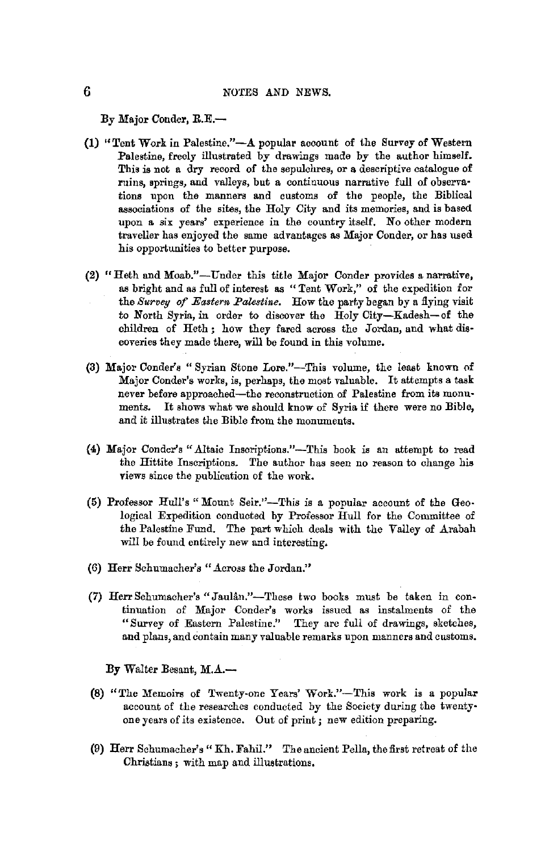By Major Conder, R.E.-

- (1) "Tent Work in Palestine."-A popular account of the Survey of Western Palestine, freely illustrated by drawings made by the author himself. This is not a dry record of the sepulchres, or a descriptive catalogue of ruins, springs, and valleys, but a continuous narrative full of observa· tions upon the manners and customs of the people, the Biblical associations of the sites, the Holy City and its memories, and is based upon a six years' experience in the country itself. No other modern traveller has enjoyed the same advantages as Major Conder, or has used his opportunities to better purpose.
- (2) "Heth and Moab."-Under this title Major Conder provides a narrative, as bright and as full of interest as "Tent Work," of the expedition for the *Survey of Eastern Palestine*. How the party began by a flying visit to North Syria, in order to discover the Holy City-Kadesh-of the children of Heth ; how they fared across the Jordan, and what dis· coveries they made there, will be found in this volume.
- (3) Major Conder's "Syrian Stone Lore."-This volume, the least known of Major Conder's works, is, perhaps, the most valuable. It attempts a task never before approached-the reconstruction of Palestine from its monuments. It shows what we should know of Syria if there were no Bible, and it illustrates the Bible from the monuments.
- {4) Major Conder's ".A.ltaie Inscriptions."-This book is an attempt to read the Hittite Inscriptions. The author has seen no reason to change his views since the publication of the work.
- (5) Professor Hull's "Mount Seir."-This is a popular account of the Geo• logical Expedition conducted by Professor Hull for the Committee of the Palestine Fund. The part which deals with the Valley of Arabah will be found entirely new and interesting.
- (6) Herr Schumacher's "Across the Jordan."
- (7) Herr Schumacher's "JauUn."-These two books must be taken in continuation of Major Conder's works issued as instalments of the "Survey of Eastern Palestine." They are full of drawings, sketches, and plans, and contain many valuable remarks upon manners and customs.

By Walter Besant, M.A.-

- (8) "The Memoirs of Twenty-one Years' Work."-This work is a popular account of the researches conducted by the Society during the twenty• one years of its existence. Out of print; new edition preparing.
- (9) Herr Schumacher's" Kh. Fahil." The ancient Pella, the first retreat of the Christians; with map and illustrations.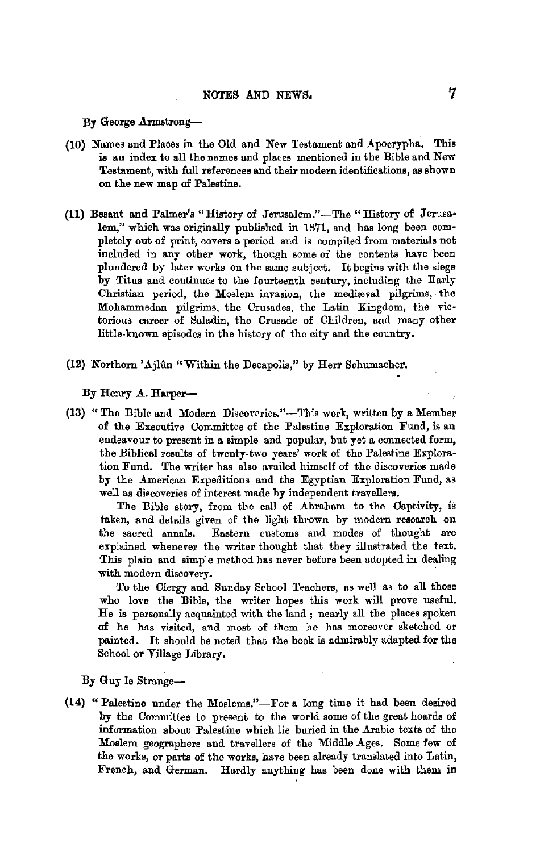By George Armstrong-

- (10) Names and Places in the Old and New Testament and Apocrypha. This is an index to all the names and places mentioned in the Bible and New Testament, with full references and their modern identifications, as shown on the new map of Palestine.
- (11) Besant and Palmer's "History of Jerusalem."-The "History of Jerusalem," which was originally published in 1871, and has long been completely out of print, covers a period and is compiled from materials not included in any other work, though some of the contents have been plundered by later works on the same subject. It begins with the siege by Titus and continues to the fourteenth century, including the Early Christian period, the Moslem invasion, the medieval pilgrims, the Mohammedan pilgrims, the Crusades, the Latin Kingdom, the victorious career of Saladin, the Crusade of Children, and many other little-known episodes in the history of the city and the country,
- (12) Northern 'Ajlûn "Within the Decapolis," by Herr Schumacher.

By Henry A. Harper-

(13) "The Bible and Modern Discoveries."-This work, written by a Member of the Executive Committee of the Palestine Exploration Fund, is an endeavour to present in a simple and popular, but yet a connected form, the Biblical results of twenty-two years' work of the Palestine Exploration Fund. The writer has also availed himself of the discoveries made by the American Expeditions and the Egyptian Exploration Fund, as well as discoveries of interest made by independent travellers.

The Bible story, from the call of Abraham to the Captivity, is taken, and details given of the light thrown by modern research on the sacred annals. Eastern customs and modes of thought are explained whenever the writer thought that they illustrated the text. This plain and simple method has never before been adopted in dealing with modem discovery.

To the Clergy and Sunday School Teachers, as well as to all those who love the Bible, the writer hopes this work will prove useful. He is personally acquainted with the land ; nearly all the places spoken **of** he has visited, and most of them he has moreover sketched or painted. It should be noted that the book is admirably adapted for the School or Village Library,

By Guy le Strange-

(14) "Palestine under the Moslems."-For a long time it had been desired by the Committee to present to the world some of the great hoards of information about Palestine which lie buried in the Arabic texts of the Moslem geographers and travellers of the Middle Ages. Some few of the works, or parts of the works, have been already translated into Latin, French, and German. Hardly anything has been done with them in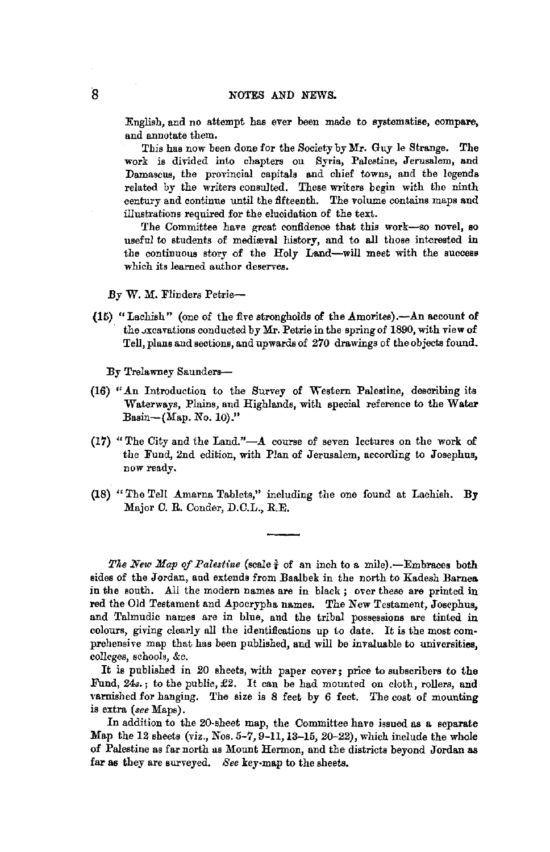English, and no attempt has ever been made to systematise, compare, and annotate them.

This has now been done for the Society by **Mr.** Guy le Strange, The work is divided into chapters on Syria, Palestine, Jerusalem, and Damascus, the provincial capitals and chief towns, and the legends related by the writers consulted. These writers begin with the ninth century and continue until the fifteenth. The volume contains maps and illustrations required for the elucidation of the text.

The Committee have great confidence that this work-so novel, so useful to students of mediæval history, and to all those interested in the continuous story of the Holy Land-will meet with the success which its learned author deserves.

.By W. M. Flinders Petrie-

(15), "Lachish" (one of the five strongholds of the Amorites).-An account of the *x*cavations conducted by Mr. Petrie in the spring of 1890, with view of Tell, plans and sections, and upwards of 270 drawings of the objects found.

By Trelawney Saunders-

- (16) "An Introduction to the Survey of Western Palestine, describing its Waterways, Plains, and Highlands, with special reference to the **Water**  Basin- $(Map. No. 10)$ ."
- **(17)** "The City and the Land."-A course of seven lectures on the work of the Fund, 2nd edition, with Plan of Jerusalem, according to Josephus, now ready.
- **(18)** "The Tell Amarna Tablets," including the one found at Lachish. **By**  Major C. R. Conder, D.C.L., R.E.

*The New Map of Palestine* (scale  $\frac{3}{2}$  of an inch to a mile).-Embraces both sides of the Jordan, and extends from Baalbek in the north to Kadesh **Bamea**  in the south. All the modern names are in black; over these are printed in red the Old Testament and Apocrypha names. The New Testament, Josephus, and Talmudic names are in blue, and the tribal possessions are tinted in colours, giving clearly all the identifications up to date. It is the most comprehensive map that has been published, and will be invaluable to universities, colleges, schools, &c.

It is published in 20 sheets, with paper cover; price to subscribers to the Fund, *24s.;* to the public, *£2.* It can be had mounted on cloth, rollers, and varnished for hanging. The size is 8 feet by 6 feet, The cost of mounting is extra *(see* Maps).

In addition to the 20-sheet map, the Committee have issued as a separate Map the 12 sheets (viz., Nos. 5-7, 9-11, 13-15, 20-22), which include the whole of Palestine as far north as Mount Hermon, and the districts beyond Jordan as far as they are surveyed. *See* key•map to the sheets.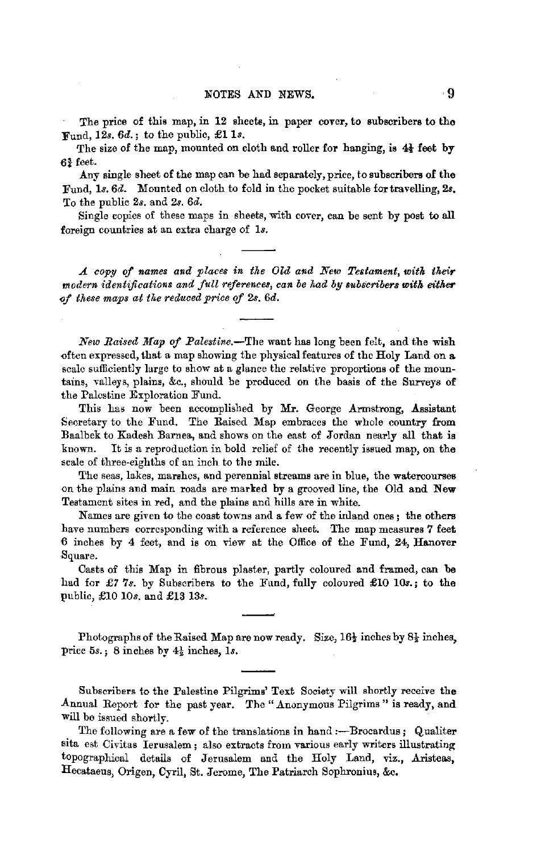The price of this map, in 12 sheets, in paper cover, to subscribers to tho Fund, 12s,  $6d.$ ; to the public, £1 1s.

The size of the map, mounted on cloth and roller for hanging, is  $4\frac{1}{3}$  feet by 6¾ feet.

Any single sheet of the map can be had separately, price, to subscribers of the Fund, ls. 6d. Mounted on cloth to fold in the pocket suitable for travelling, 2s. To the public 28. and 2s. 6d.

Single copies of these maps in sheets, with cover, can be sent by post to all foreign countries at an extra charge of 18.

*A copy of names and place8 in tke Old and New Testament, witk their modern identifications and full references, can be kad by subscribers with either <0f these maps at tke reduced price* ef 2s. *6d.* 

*New Raised Map of Palestine.-The* want has long been felt, and the wish often expressed, that a map showing the physical features of the Holy Land on **a.**  scale sufficiently large to show at a glance the relative proportions of the mountains, valleys, plains, &c., should be produced on the basis of the Surveys of the Palestine Exploration Fund.

This has now been accomplished by Mr. George Armstrong, Assistant Secretary to the Fund. The Raised Map embraces the whole country from Baalbek to Kadesh Barnea, and shows on the east of Jordan nearly all that is known. It is a reproduction in bold relief of the recently issued map, on the scale of three-eighths of an inch to the mile.

The seas, lakes, marshes, and perennial streams are in blue, the watercourses on the plains and main roads are marked by a grooved line, the Old and New Testament sites in red, and the plains and hills are in white.

Names are given to the coast towns and a few of the inland ones; the others have numbers corresponding with a reference sheet. The map measures **7** feet 6 inches by 4 feet, and is on view at the Office of the Fund, 24, Hanover Square.

Casts of this Map in fibrous plaster, partly coloured and framed, can **be**  had for *£7* 7s. by Subscribers to the Fund, fully coloured £10 10s.; to the public, £10 *10s.* and £13 13s.

Photographs of the Raised Map are now ready. Size,  $16\frac{1}{2}$  inches by  $8\frac{1}{2}$  inches, price 5s.; 8 inches by 4½ inches, ls.

Subscribers to the Palestine Pilgrims' Text Society will shortly receive the Annual Report for the past year. The "Anonymous Pilgrims" is ready, and will be issued shortly.

The following are a few of the translations in hand :- Brocardus; Qualiter sita est Civitas Ierusalem ; also extracts from various early writers illustrating topographical details of Jerusalem and the Holy Land, viz., Aristeas, Hecataeus, Origen, Cyril, St. Jerome, The Patriarch Sophronius, &c.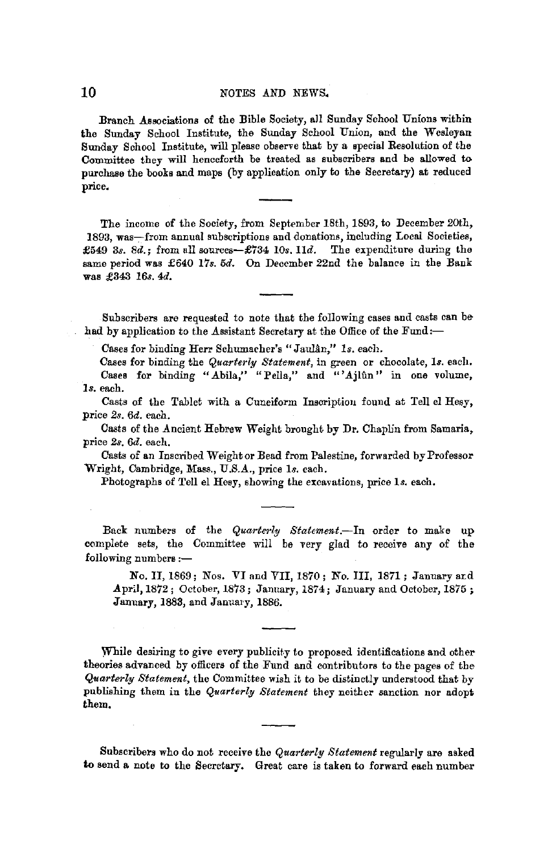Branch Associations of the Bible Society, all Sunday School Unions within **the** Sunday School Institute, the Sunday School Union, and the Wesleyan Sunday School Institute, will please observe that by a special Resolution of the Committee they will henceforth be treated as subscribers and be allowed to purchase the books and maps (by application only to the Secretary) at reduced price.

The income of the Society, from September 18th, 1893, to December 20th, 1893, was-from annual subscriptions and donations, including Local Societies, £549 *3s.* 8d.; from all sources-£734 *IOs. lld.* The expenditure during the same period was £640 *17s. 5d.* On December 22nd the balance in the Bank was £343 *16s. 4d.* 

Subscribers are requested to note that the following cases and casts can behad by application to the Assistant Secretary at the Office of the Fund:-

Cases for binding Herr Schumacher's "JauUn," *ls.* each.

Cases for binding the *Quarterly Statement*, in green or chocolate, 1s. each. Cases for binding "Abila," "Pella," and "'Ajlun" in one volume, **ls.** each.

Casts of the Tablet with a Cuneiform Inscription found at Tell el Hesy, price *2s. 6d.* each.

Casts of the Ancient Hebrew Weight brought by Dr. Chaplin from Samaria, price *2s. 6d.* each.

Casts of an Inscribed Weight or Bead from Palestine, forwarded by Professor Wright, Cambridge, Mass., U.S.A., price *Is.* each.

Photographs of Tell el Hesy, showing the excavations, price ls. each.

Back numbers of the *Quarterly Statement.-ln* order to make up complete sets, the Committee will be very glad to receive any of the following numbers :-

No. II, 1869; Nos. VI and VII, 1870; No. III, 1871; January ard April, 1872; October, 1873; January, 1874; January and October, 1875; January, 1883, and January, 1886.

While desiring to give every publicity to proposed identifications and other theories advanced by officers of the Fund and contributors to the pages of the *Quarterly Statement,* the Committee wish it to be distinctly understood that by publishing them in the *Quarterly Statement* they neither sanction nor adopt them,

Subscribers who do not receive the *Quarterly Statement* regularly are asked to send a note to the Secretary. Great care is taken to forward each number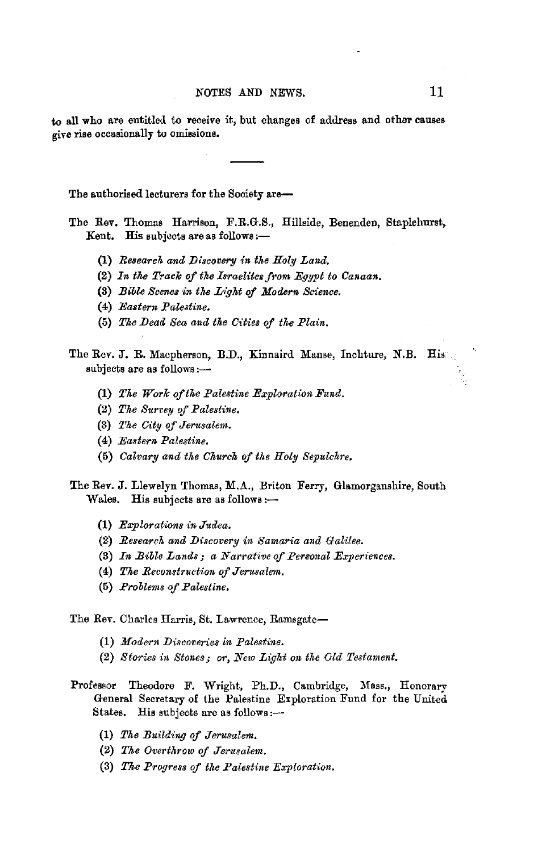to all who are entitled to receive it, but changes of address and other causes give rise occasionally to omissions.

The authorised lecturers for the Society are-

The Rev. Thomas Harrison, F.R.G.S., Hillside, Benenden, Staplehurst, Kent. His subjects are as follows :-

- **(1)** *Research and JJiscovery in the Holy Land.*
- (2) In the Track of the Israelites from Egypt to Canaan.
- (3) *Bible Scenes in the Light of Modern Science.*
- (4) *Eastern Palestine.*
- (5) *The Dead Sea and the Cities of the Plain.*
- The Rev. J. R. Macpherson, B.D., Kinnaird Manse, Inchture, N.B. His subjects are as follows:-
	- (1) *The Work ofthe Palestine Exploration Fund.*
	- (2) *The Survey* ef *Palestine.*
	- (8) *The City of Jerusalem.*
	- (4) *Eastern Palestine.*
	- (5) *Calvary and the Church of the Holy Sepulchre.*
- The Rev. J. Llewelyn Thomas, M.A., Briton Ferry, Glamorganshire, South Wales. His subjects are as follows :-
	- (1) *Explorations in Judea.*
	- (2) *Research and JJiscovery in Samaria and Galilee.*
	- (3) *In Bible Lands; a Narrative of Personal Experiences.*
	- (4) *The Reconstruction of Jerusalem.*
	- (5) *Problems of Palestine,*

The Rev. Charles Harris, St. Lawrence, Ramsgate-

- (1) *Modern JJiscoveries in Palestine.*
- (2) *Stories in Stones; or, New Light on the Old Testament.*
- Professor Theodore F. Wright, Ph.D., Cambridge, Mass., Honorary General Secretary of the Palestine Exploration Fund for the United States. His subjects are as follows:--
	- (1) *The Building of Jerusalem.*
	- (2) *The Overthrow of Jerusalem.*
	- (3) *Tke Progress of the Palestine Exploratfon.*